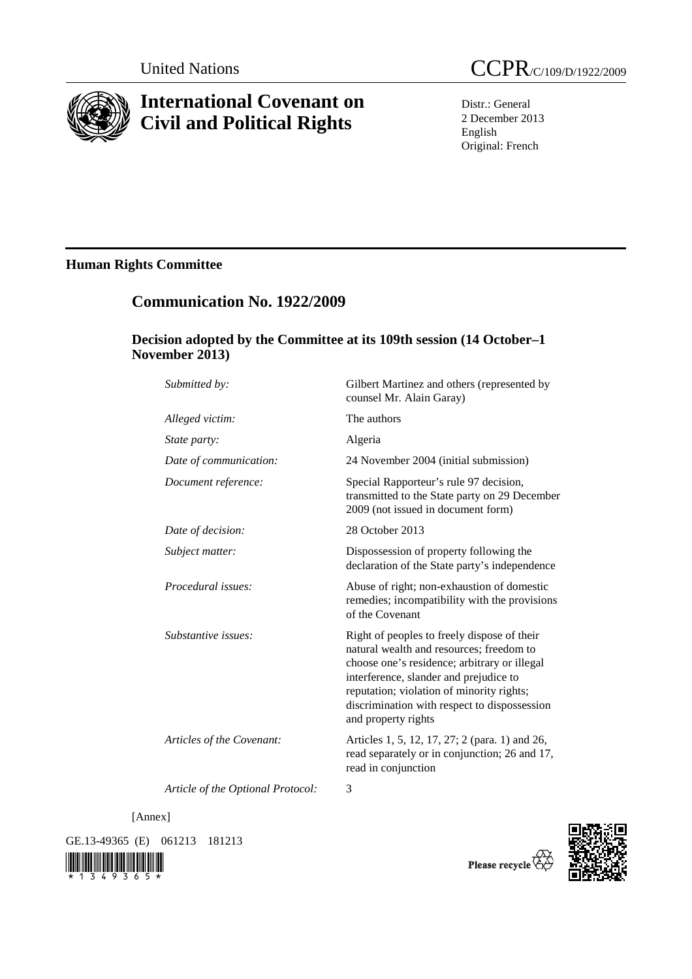

# **International Covenant on Civil and Political Rights**

Distr.: General 2 December 2013 English Original: French

## **Human Rights Committee**

## **Communication No. 1922/2009**

### **Decision adopted by the Committee at its 109th session (14 October–1 November 2013)**

| Submitted by:             | Gilbert Martinez and others (represented by<br>counsel Mr. Alain Garay)                                                                                                                                                                                                                               |
|---------------------------|-------------------------------------------------------------------------------------------------------------------------------------------------------------------------------------------------------------------------------------------------------------------------------------------------------|
| Alleged victim:           | The authors                                                                                                                                                                                                                                                                                           |
| State party:              | Algeria                                                                                                                                                                                                                                                                                               |
| Date of communication:    | 24 November 2004 (initial submission)                                                                                                                                                                                                                                                                 |
| Document reference:       | Special Rapporteur's rule 97 decision,<br>transmitted to the State party on 29 December<br>2009 (not issued in document form)                                                                                                                                                                         |
| Date of decision:         | 28 October 2013                                                                                                                                                                                                                                                                                       |
| Subject matter:           | Dispossession of property following the<br>declaration of the State party's independence                                                                                                                                                                                                              |
| Procedural issues:        | Abuse of right; non-exhaustion of domestic<br>remedies; incompatibility with the provisions<br>of the Covenant                                                                                                                                                                                        |
| Substantive issues:       | Right of peoples to freely dispose of their<br>natural wealth and resources; freedom to<br>choose one's residence; arbitrary or illegal<br>interference, slander and prejudice to<br>reputation; violation of minority rights;<br>discrimination with respect to dispossession<br>and property rights |
| Articles of the Covenant: | Articles 1, 5, 12, 17, 27; 2 (para. 1) and 26,<br>read separately or in conjunction; 26 and 17,<br>read in conjunction                                                                                                                                                                                |
|                           |                                                                                                                                                                                                                                                                                                       |

*Article of the Optional Protocol:* 3

[Annex]

GE.13-49365 (E) 061213 181213





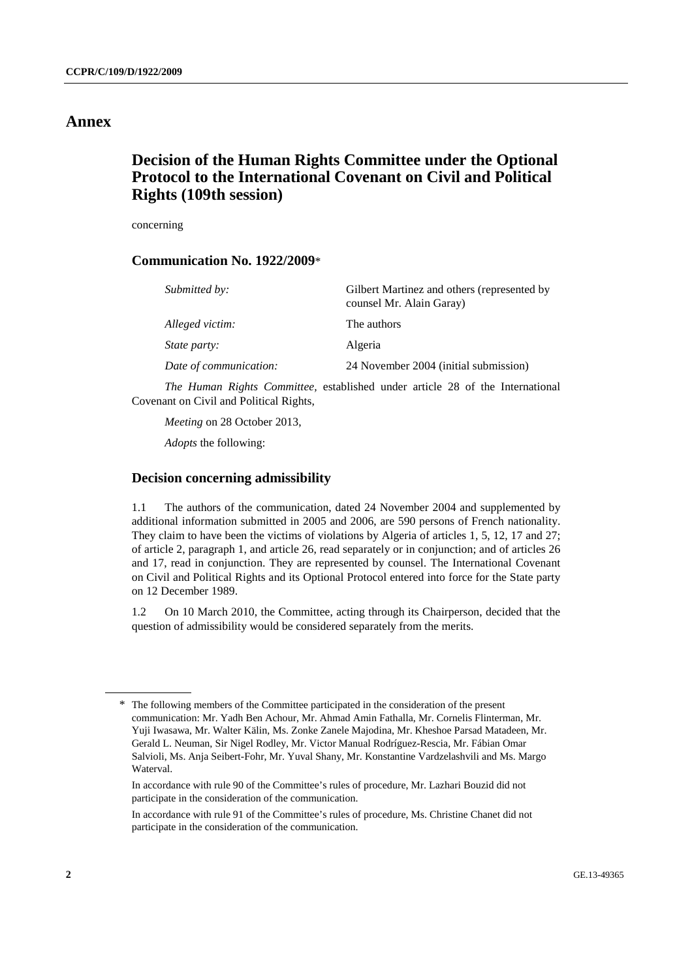### **Annex**

## **Decision of the Human Rights Committee under the Optional Protocol to the International Covenant on Civil and Political Rights (109th session)**

concerning

#### **Communication No. 1922/2009**\*

| Submitted by:          | Gilbert Martinez and others (represented by<br>counsel Mr. Alain Garay) |
|------------------------|-------------------------------------------------------------------------|
| Alleged victim:        | The authors                                                             |
| <i>State party:</i>    | Algeria                                                                 |
| Date of communication: | 24 November 2004 (initial submission)                                   |

*The Human Rights Committee,* established under article 28 of the International Covenant on Civil and Political Rights,

*Meeting* on 28 October 2013,

*Adopts* the following:

#### **Decision concerning admissibility**

1.1 The authors of the communication, dated 24 November 2004 and supplemented by additional information submitted in 2005 and 2006, are 590 persons of French nationality. They claim to have been the victims of violations by Algeria of articles 1, 5, 12, 17 and 27; of article 2, paragraph 1, and article 26, read separately or in conjunction; and of articles 26 and 17, read in conjunction. They are represented by counsel. The International Covenant on Civil and Political Rights and its Optional Protocol entered into force for the State party on 12 December 1989.

1.2 On 10 March 2010, the Committee, acting through its Chairperson, decided that the question of admissibility would be considered separately from the merits.

<sup>\*</sup> The following members of the Committee participated in the consideration of the present communication: Mr. Yadh Ben Achour, Mr. Ahmad Amin Fathalla, Mr. Cornelis Flinterman, Mr. Yuji Iwasawa, Mr. Walter Kälin, Ms. Zonke Zanele Majodina, Mr. Kheshoe Parsad Matadeen, Mr. Gerald L. Neuman, Sir Nigel Rodley, Mr. Victor Manual Rodríguez-Rescia, Mr. Fábian Omar Salvioli, Ms. Anja Seibert-Fohr, Mr. Yuval Shany, Mr. Konstantine Vardzelashvili and Ms. Margo Waterval.

In accordance with rule 90 of the Committee's rules of procedure, Mr. Lazhari Bouzid did not participate in the consideration of the communication.

In accordance with rule 91 of the Committee's rules of procedure, Ms. Christine Chanet did not participate in the consideration of the communication.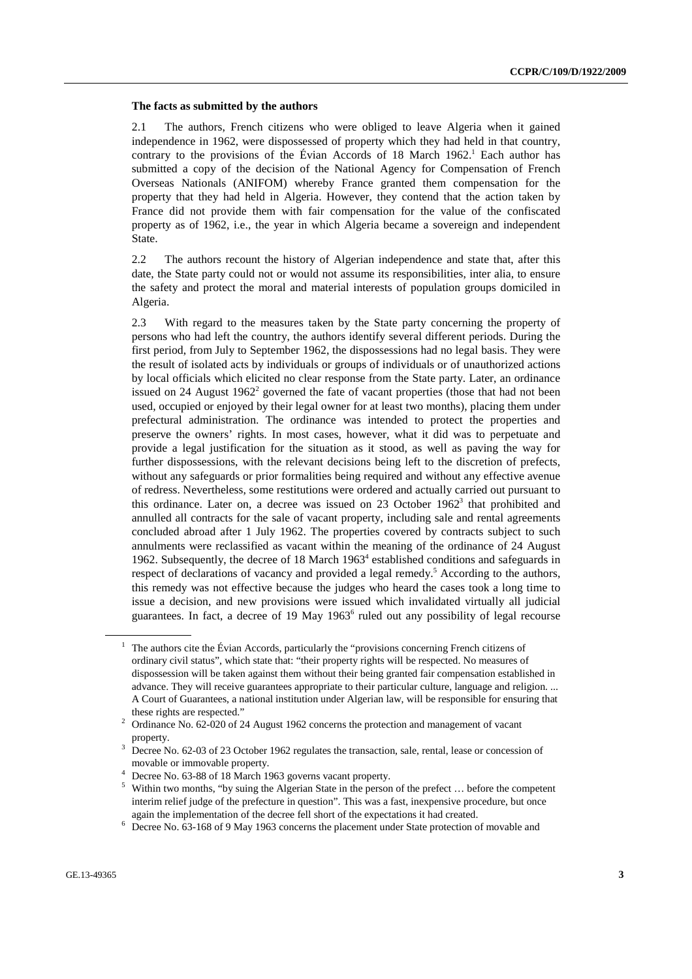#### **The facts as submitted by the authors**

2.1 The authors, French citizens who were obliged to leave Algeria when it gained independence in 1962, were dispossessed of property which they had held in that country, contrary to the provisions of the Évian Accords of 18 March  $1962$ <sup>1</sup>. Each author has submitted a copy of the decision of the National Agency for Compensation of French Overseas Nationals (ANIFOM) whereby France granted them compensation for the property that they had held in Algeria. However, they contend that the action taken by France did not provide them with fair compensation for the value of the confiscated property as of 1962, i.e., the year in which Algeria became a sovereign and independent State.

2.2 The authors recount the history of Algerian independence and state that, after this date, the State party could not or would not assume its responsibilities, inter alia, to ensure the safety and protect the moral and material interests of population groups domiciled in Algeria.

2.3 With regard to the measures taken by the State party concerning the property of persons who had left the country, the authors identify several different periods. During the first period, from July to September 1962, the dispossessions had no legal basis. They were the result of isolated acts by individuals or groups of individuals or of unauthorized actions by local officials which elicited no clear response from the State party. Later, an ordinance issued on 24 August  $1962<sup>2</sup>$  governed the fate of vacant properties (those that had not been used, occupied or enjoyed by their legal owner for at least two months), placing them under prefectural administration. The ordinance was intended to protect the properties and preserve the owners' rights. In most cases, however, what it did was to perpetuate and provide a legal justification for the situation as it stood, as well as paving the way for further dispossessions, with the relevant decisions being left to the discretion of prefects, without any safeguards or prior formalities being required and without any effective avenue of redress. Nevertheless, some restitutions were ordered and actually carried out pursuant to this ordinance. Later on, a decree was issued on 23 October  $1962<sup>3</sup>$  that prohibited and annulled all contracts for the sale of vacant property, including sale and rental agreements concluded abroad after 1 July 1962. The properties covered by contracts subject to such annulments were reclassified as vacant within the meaning of the ordinance of 24 August 1962. Subsequently, the decree of 18 March 1963<sup>4</sup> established conditions and safeguards in respect of declarations of vacancy and provided a legal remedy.<sup>5</sup> According to the authors, this remedy was not effective because the judges who heard the cases took a long time to issue a decision, and new provisions were issued which invalidated virtually all judicial guarantees. In fact, a decree of 19 May  $1963<sup>6</sup>$  ruled out any possibility of legal recourse

<sup>&</sup>lt;sup>1</sup> The authors cite the Évian Accords, particularly the "provisions concerning French citizens of ordinary civil status", which state that: "their property rights will be respected. No measures of dispossession will be taken against them without their being granted fair compensation established in advance. They will receive guarantees appropriate to their particular culture, language and religion. ... A Court of Guarantees, a national institution under Algerian law, will be responsible for ensuring that these rights are respected."<br> $\frac{2}{3}$  Ordinance N<sub>2</sub> (2.020  $\neq$  2.

Ordinance No. 62-020 of 24 August 1962 concerns the protection and management of vacant

property.<br><sup>3</sup> Decree No. 62-03 of 23 October 1962 regulates the transaction, sale, rental, lease or concession of movable or immovable property.<br>
<sup>4</sup> Decree No. 63-88 of 18 March 1963 governs vacant property.

<sup>&</sup>lt;sup>5</sup> Within two months, "by suing the Algerian State in the person of the prefect ... before the competent interim relief judge of the prefecture in question". This was a fast, inexpensive procedure, but once again the implementation of the decree fell short of the expectations it had created. 6

<sup>&</sup>lt;sup>6</sup> Decree No. 63-168 of 9 May 1963 concerns the placement under State protection of movable and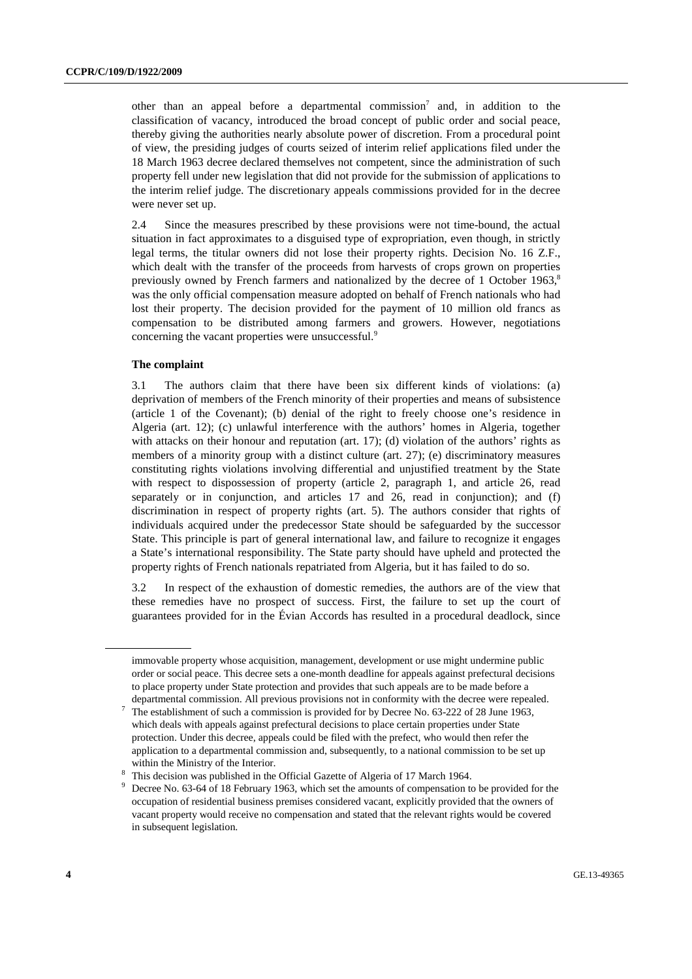other than an appeal before a departmental commission<sup>7</sup> and, in addition to the classification of vacancy, introduced the broad concept of public order and social peace, thereby giving the authorities nearly absolute power of discretion. From a procedural point of view, the presiding judges of courts seized of interim relief applications filed under the 18 March 1963 decree declared themselves not competent, since the administration of such property fell under new legislation that did not provide for the submission of applications to the interim relief judge. The discretionary appeals commissions provided for in the decree were never set up.

2.4 Since the measures prescribed by these provisions were not time-bound, the actual situation in fact approximates to a disguised type of expropriation, even though, in strictly legal terms, the titular owners did not lose their property rights. Decision No. 16 Z.F., which dealt with the transfer of the proceeds from harvests of crops grown on properties previously owned by French farmers and nationalized by the decree of 1 October 1963. $8$ was the only official compensation measure adopted on behalf of French nationals who had lost their property. The decision provided for the payment of 10 million old francs as compensation to be distributed among farmers and growers. However, negotiations concerning the vacant properties were unsuccessful.<sup>9</sup>

#### **The complaint**

3.1 The authors claim that there have been six different kinds of violations: (a) deprivation of members of the French minority of their properties and means of subsistence (article 1 of the Covenant); (b) denial of the right to freely choose one's residence in Algeria (art. 12); (c) unlawful interference with the authors' homes in Algeria, together with attacks on their honour and reputation (art. 17); (d) violation of the authors' rights as members of a minority group with a distinct culture (art. 27); (e) discriminatory measures constituting rights violations involving differential and unjustified treatment by the State with respect to dispossession of property (article 2, paragraph 1, and article 26, read separately or in conjunction, and articles 17 and 26, read in conjunction); and (f) discrimination in respect of property rights (art. 5). The authors consider that rights of individuals acquired under the predecessor State should be safeguarded by the successor State. This principle is part of general international law, and failure to recognize it engages a State's international responsibility. The State party should have upheld and protected the property rights of French nationals repatriated from Algeria, but it has failed to do so.

3.2 In respect of the exhaustion of domestic remedies, the authors are of the view that these remedies have no prospect of success. First, the failure to set up the court of guarantees provided for in the Évian Accords has resulted in a procedural deadlock, since

immovable property whose acquisition, management, development or use might undermine public order or social peace. This decree sets a one-month deadline for appeals against prefectural decisions to place property under State protection and provides that such appeals are to be made before a departmental commission. All previous provisions not in conformity with the decree were repealed.

The establishment of such a commission is provided for by Decree No. 63-222 of 28 June 1963, which deals with appeals against prefectural decisions to place certain properties under State protection. Under this decree, appeals could be filed with the prefect, who would then refer the application to a departmental commission and, subsequently, to a national commission to be set up within the Ministry of the Interior.

This decision was published in the Official Gazette of Algeria of 17 March 1964.

<sup>9</sup> Decree No. 63-64 of 18 February 1963, which set the amounts of compensation to be provided for the occupation of residential business premises considered vacant, explicitly provided that the owners of vacant property would receive no compensation and stated that the relevant rights would be covered in subsequent legislation.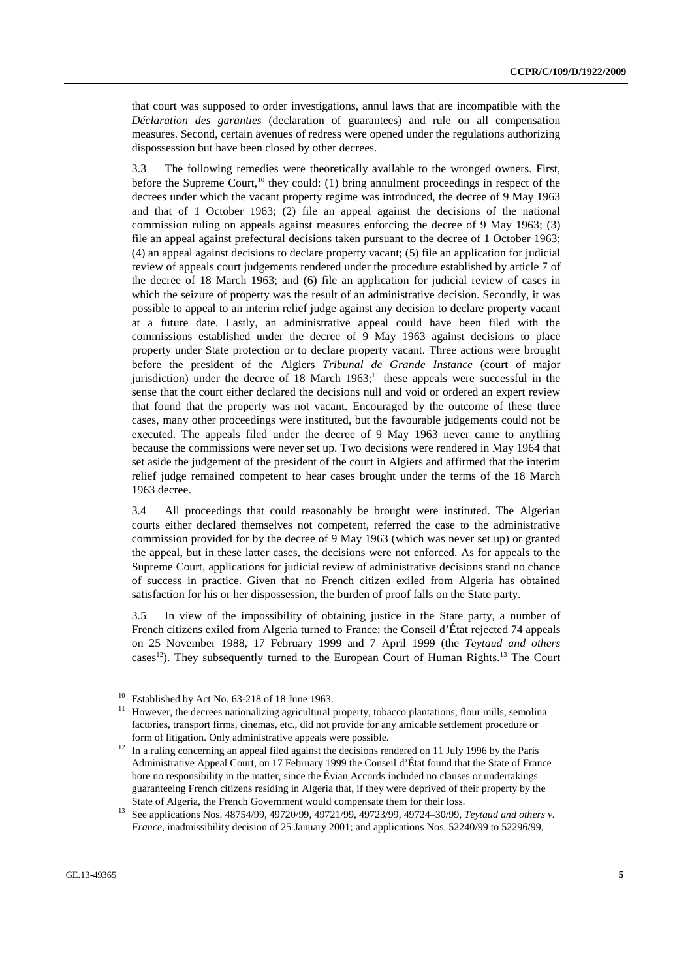that court was supposed to order investigations, annul laws that are incompatible with the *Déclaration des garanties* (declaration of guarantees) and rule on all compensation measures. Second, certain avenues of redress were opened under the regulations authorizing dispossession but have been closed by other decrees.

3.3 The following remedies were theoretically available to the wronged owners. First, before the Supreme Court,<sup>10</sup> they could: (1) bring annulment proceedings in respect of the decrees under which the vacant property regime was introduced, the decree of 9 May 1963 and that of 1 October 1963; (2) file an appeal against the decisions of the national commission ruling on appeals against measures enforcing the decree of 9 May 1963; (3) file an appeal against prefectural decisions taken pursuant to the decree of 1 October 1963; (4) an appeal against decisions to declare property vacant; (5) file an application for judicial review of appeals court judgements rendered under the procedure established by article 7 of the decree of 18 March 1963; and (6) file an application for judicial review of cases in which the seizure of property was the result of an administrative decision. Secondly, it was possible to appeal to an interim relief judge against any decision to declare property vacant at a future date. Lastly, an administrative appeal could have been filed with the commissions established under the decree of 9 May 1963 against decisions to place property under State protection or to declare property vacant. Three actions were brought before the president of the Algiers *Tribunal de Grande Instance* (court of major jurisdiction) under the decree of 18 March  $1963$ ;<sup>11</sup> these appeals were successful in the sense that the court either declared the decisions null and void or ordered an expert review that found that the property was not vacant. Encouraged by the outcome of these three cases, many other proceedings were instituted, but the favourable judgements could not be executed. The appeals filed under the decree of 9 May 1963 never came to anything because the commissions were never set up. Two decisions were rendered in May 1964 that set aside the judgement of the president of the court in Algiers and affirmed that the interim relief judge remained competent to hear cases brought under the terms of the 18 March 1963 decree.

3.4 All proceedings that could reasonably be brought were instituted. The Algerian courts either declared themselves not competent, referred the case to the administrative commission provided for by the decree of 9 May 1963 (which was never set up) or granted the appeal, but in these latter cases, the decisions were not enforced. As for appeals to the Supreme Court, applications for judicial review of administrative decisions stand no chance of success in practice. Given that no French citizen exiled from Algeria has obtained satisfaction for his or her dispossession, the burden of proof falls on the State party.

3.5 In view of the impossibility of obtaining justice in the State party, a number of French citizens exiled from Algeria turned to France: the Conseil d'État rejected 74 appeals on 25 November 1988, 17 February 1999 and 7 April 1999 (the *Teytaud and others* cases<sup>12</sup>). They subsequently turned to the European Court of Human Rights.<sup>13</sup> The Court

<sup>&</sup>lt;sup>10</sup> Established by Act No. 63-218 of 18 June 1963.

<sup>&</sup>lt;sup>11</sup> However, the decrees nationalizing agricultural property, tobacco plantations, flour mills, semolina factories, transport firms, cinemas, etc., did not provide for any amicable settlement procedure or

form of litigation. Only administrative appeals were possible. 12 In a ruling concerning an appeal filed against the decisions rendered on 11 July 1996 by the Paris Administrative Appeal Court, on 17 February 1999 the Conseil d'État found that the State of France bore no responsibility in the matter, since the Évian Accords included no clauses or undertakings guaranteeing French citizens residing in Algeria that, if they were deprived of their property by the

State of Algeria, the French Government would compensate them for their loss. 13 See applications Nos. 48754/99, 49720/99, 49721/99, 49723/99, 49724–30/99, *Teytaud and others v. France*, inadmissibility decision of 25 January 2001; and applications Nos. 52240/99 to 52296/99,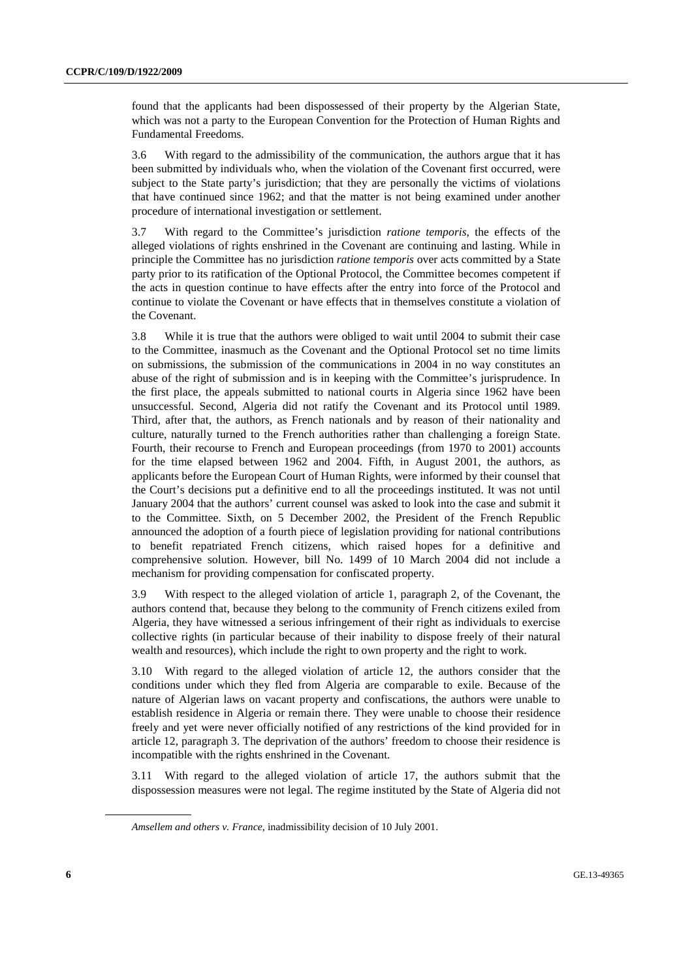found that the applicants had been dispossessed of their property by the Algerian State, which was not a party to the European Convention for the Protection of Human Rights and Fundamental Freedoms.

3.6 With regard to the admissibility of the communication, the authors argue that it has been submitted by individuals who, when the violation of the Covenant first occurred, were subject to the State party's jurisdiction; that they are personally the victims of violations that have continued since 1962; and that the matter is not being examined under another procedure of international investigation or settlement.

3.7 With regard to the Committee's jurisdiction *ratione temporis*, the effects of the alleged violations of rights enshrined in the Covenant are continuing and lasting. While in principle the Committee has no jurisdiction *ratione temporis* over acts committed by a State party prior to its ratification of the Optional Protocol, the Committee becomes competent if the acts in question continue to have effects after the entry into force of the Protocol and continue to violate the Covenant or have effects that in themselves constitute a violation of the Covenant.

3.8 While it is true that the authors were obliged to wait until 2004 to submit their case to the Committee, inasmuch as the Covenant and the Optional Protocol set no time limits on submissions, the submission of the communications in 2004 in no way constitutes an abuse of the right of submission and is in keeping with the Committee's jurisprudence. In the first place, the appeals submitted to national courts in Algeria since 1962 have been unsuccessful. Second, Algeria did not ratify the Covenant and its Protocol until 1989. Third, after that, the authors, as French nationals and by reason of their nationality and culture, naturally turned to the French authorities rather than challenging a foreign State. Fourth, their recourse to French and European proceedings (from 1970 to 2001) accounts for the time elapsed between 1962 and 2004. Fifth, in August 2001, the authors, as applicants before the European Court of Human Rights, were informed by their counsel that the Court's decisions put a definitive end to all the proceedings instituted. It was not until January 2004 that the authors' current counsel was asked to look into the case and submit it to the Committee. Sixth, on 5 December 2002, the President of the French Republic announced the adoption of a fourth piece of legislation providing for national contributions to benefit repatriated French citizens, which raised hopes for a definitive and comprehensive solution. However, bill No. 1499 of 10 March 2004 did not include a mechanism for providing compensation for confiscated property.

3.9 With respect to the alleged violation of article 1, paragraph 2, of the Covenant, the authors contend that, because they belong to the community of French citizens exiled from Algeria, they have witnessed a serious infringement of their right as individuals to exercise collective rights (in particular because of their inability to dispose freely of their natural wealth and resources), which include the right to own property and the right to work.

3.10 With regard to the alleged violation of article 12, the authors consider that the conditions under which they fled from Algeria are comparable to exile. Because of the nature of Algerian laws on vacant property and confiscations, the authors were unable to establish residence in Algeria or remain there. They were unable to choose their residence freely and yet were never officially notified of any restrictions of the kind provided for in article 12, paragraph 3. The deprivation of the authors' freedom to choose their residence is incompatible with the rights enshrined in the Covenant.

3.11 With regard to the alleged violation of article 17, the authors submit that the dispossession measures were not legal. The regime instituted by the State of Algeria did not

*Amsellem and others v. France*, inadmissibility decision of 10 July 2001.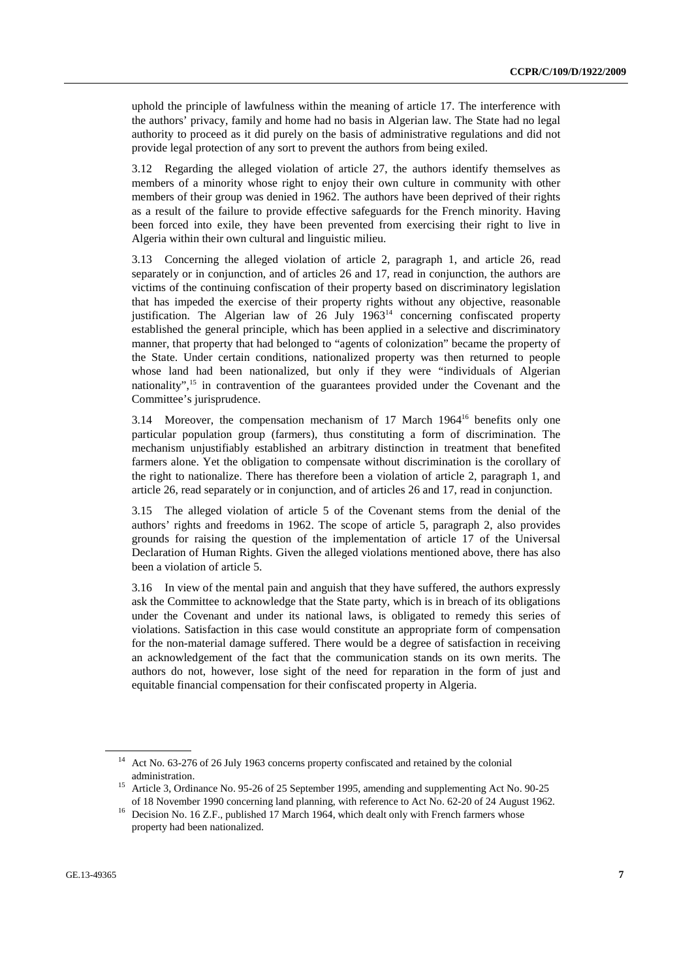uphold the principle of lawfulness within the meaning of article 17. The interference with the authors' privacy, family and home had no basis in Algerian law. The State had no legal authority to proceed as it did purely on the basis of administrative regulations and did not provide legal protection of any sort to prevent the authors from being exiled.

3.12 Regarding the alleged violation of article 27, the authors identify themselves as members of a minority whose right to enjoy their own culture in community with other members of their group was denied in 1962. The authors have been deprived of their rights as a result of the failure to provide effective safeguards for the French minority. Having been forced into exile, they have been prevented from exercising their right to live in Algeria within their own cultural and linguistic milieu.

3.13 Concerning the alleged violation of article 2, paragraph 1, and article 26, read separately or in conjunction, and of articles 26 and 17, read in conjunction, the authors are victims of the continuing confiscation of their property based on discriminatory legislation that has impeded the exercise of their property rights without any objective, reasonable justification. The Algerian law of  $26$  July  $1963^{14}$  concerning confiscated property established the general principle, which has been applied in a selective and discriminatory manner, that property that had belonged to "agents of colonization" became the property of the State. Under certain conditions, nationalized property was then returned to people whose land had been nationalized, but only if they were "individuals of Algerian nationality",<sup>15</sup> in contravention of the guarantees provided under the Covenant and the Committee's jurisprudence.

3.14 Moreover, the compensation mechanism of  $17$  March  $1964^{16}$  benefits only one particular population group (farmers), thus constituting a form of discrimination. The mechanism unjustifiably established an arbitrary distinction in treatment that benefited farmers alone. Yet the obligation to compensate without discrimination is the corollary of the right to nationalize. There has therefore been a violation of article 2, paragraph 1, and article 26, read separately or in conjunction, and of articles 26 and 17, read in conjunction.

3.15 The alleged violation of article 5 of the Covenant stems from the denial of the authors' rights and freedoms in 1962. The scope of article 5, paragraph 2, also provides grounds for raising the question of the implementation of article 17 of the Universal Declaration of Human Rights. Given the alleged violations mentioned above, there has also been a violation of article 5.

3.16 In view of the mental pain and anguish that they have suffered, the authors expressly ask the Committee to acknowledge that the State party, which is in breach of its obligations under the Covenant and under its national laws, is obligated to remedy this series of violations. Satisfaction in this case would constitute an appropriate form of compensation for the non-material damage suffered. There would be a degree of satisfaction in receiving an acknowledgement of the fact that the communication stands on its own merits. The authors do not, however, lose sight of the need for reparation in the form of just and equitable financial compensation for their confiscated property in Algeria.

<sup>14</sup> Act No. 63-276 of 26 July 1963 concerns property confiscated and retained by the colonial

administration.<br><sup>15</sup> Article 3, Ordinance No. 95-26 of 25 September 1995, amending and supplementing Act No. 90-25

of 18 November 1990 concerning land planning, with reference to Act No. 62-20 of 24 August 1962. 16 Decision No. 16 Z.F., published 17 March 1964, which dealt only with French farmers whose property had been nationalized.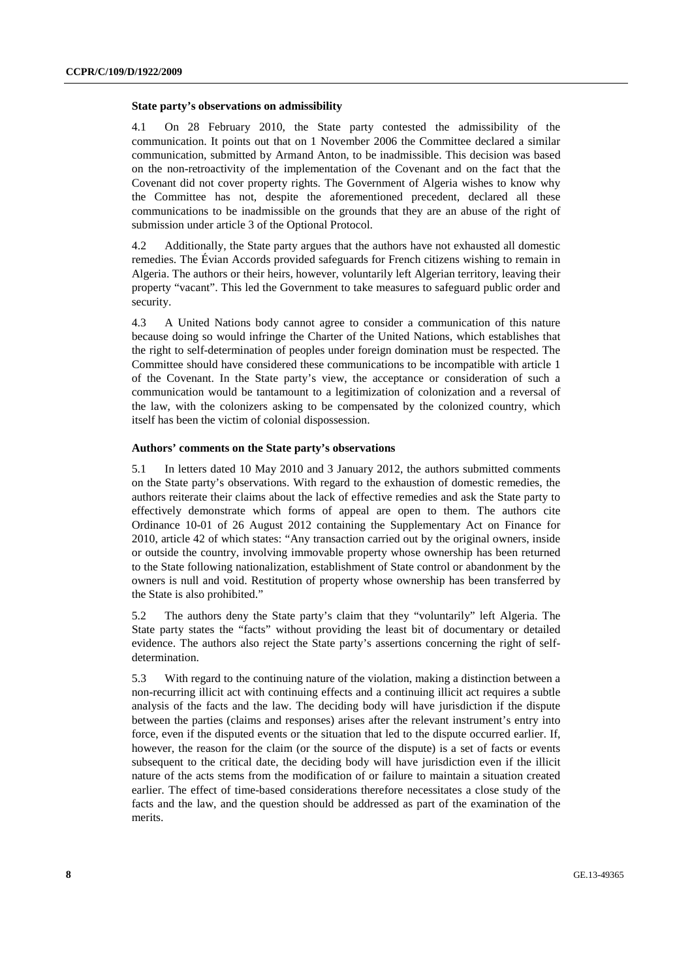#### **State party's observations on admissibility**

4.1 On 28 February 2010, the State party contested the admissibility of the communication. It points out that on 1 November 2006 the Committee declared a similar communication, submitted by Armand Anton, to be inadmissible. This decision was based on the non-retroactivity of the implementation of the Covenant and on the fact that the Covenant did not cover property rights. The Government of Algeria wishes to know why the Committee has not, despite the aforementioned precedent, declared all these communications to be inadmissible on the grounds that they are an abuse of the right of submission under article 3 of the Optional Protocol.

4.2 Additionally, the State party argues that the authors have not exhausted all domestic remedies. The Évian Accords provided safeguards for French citizens wishing to remain in Algeria. The authors or their heirs, however, voluntarily left Algerian territory, leaving their property "vacant". This led the Government to take measures to safeguard public order and security.

4.3 A United Nations body cannot agree to consider a communication of this nature because doing so would infringe the Charter of the United Nations, which establishes that the right to self-determination of peoples under foreign domination must be respected. The Committee should have considered these communications to be incompatible with article 1 of the Covenant. In the State party's view, the acceptance or consideration of such a communication would be tantamount to a legitimization of colonization and a reversal of the law, with the colonizers asking to be compensated by the colonized country, which itself has been the victim of colonial dispossession.

#### **Authors' comments on the State party's observations**

5.1 In letters dated 10 May 2010 and 3 January 2012, the authors submitted comments on the State party's observations. With regard to the exhaustion of domestic remedies, the authors reiterate their claims about the lack of effective remedies and ask the State party to effectively demonstrate which forms of appeal are open to them. The authors cite Ordinance 10-01 of 26 August 2012 containing the Supplementary Act on Finance for 2010, article 42 of which states: "Any transaction carried out by the original owners, inside or outside the country, involving immovable property whose ownership has been returned to the State following nationalization, establishment of State control or abandonment by the owners is null and void. Restitution of property whose ownership has been transferred by the State is also prohibited."

5.2 The authors deny the State party's claim that they "voluntarily" left Algeria. The State party states the "facts" without providing the least bit of documentary or detailed evidence. The authors also reject the State party's assertions concerning the right of selfdetermination.

5.3 With regard to the continuing nature of the violation, making a distinction between a non-recurring illicit act with continuing effects and a continuing illicit act requires a subtle analysis of the facts and the law. The deciding body will have jurisdiction if the dispute between the parties (claims and responses) arises after the relevant instrument's entry into force, even if the disputed events or the situation that led to the dispute occurred earlier. If, however, the reason for the claim (or the source of the dispute) is a set of facts or events subsequent to the critical date, the deciding body will have jurisdiction even if the illicit nature of the acts stems from the modification of or failure to maintain a situation created earlier. The effect of time-based considerations therefore necessitates a close study of the facts and the law, and the question should be addressed as part of the examination of the merits.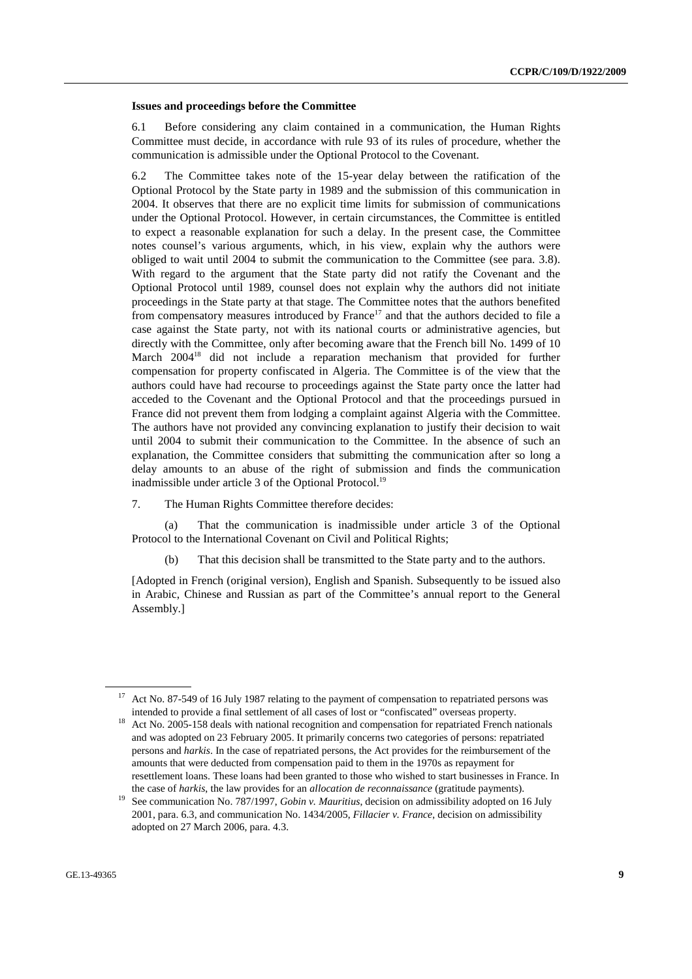#### **Issues and proceedings before the Committee**

6.1 Before considering any claim contained in a communication, the Human Rights Committee must decide, in accordance with rule 93 of its rules of procedure, whether the communication is admissible under the Optional Protocol to the Covenant.

6.2 The Committee takes note of the 15-year delay between the ratification of the Optional Protocol by the State party in 1989 and the submission of this communication in 2004. It observes that there are no explicit time limits for submission of communications under the Optional Protocol. However, in certain circumstances, the Committee is entitled to expect a reasonable explanation for such a delay. In the present case, the Committee notes counsel's various arguments, which, in his view, explain why the authors were obliged to wait until 2004 to submit the communication to the Committee (see para. 3.8). With regard to the argument that the State party did not ratify the Covenant and the Optional Protocol until 1989, counsel does not explain why the authors did not initiate proceedings in the State party at that stage. The Committee notes that the authors benefited from compensatory measures introduced by France<sup>17</sup> and that the authors decided to file a case against the State party, not with its national courts or administrative agencies, but directly with the Committee, only after becoming aware that the French bill No. 1499 of 10 March 2004<sup>18</sup> did not include a reparation mechanism that provided for further compensation for property confiscated in Algeria. The Committee is of the view that the authors could have had recourse to proceedings against the State party once the latter had acceded to the Covenant and the Optional Protocol and that the proceedings pursued in France did not prevent them from lodging a complaint against Algeria with the Committee. The authors have not provided any convincing explanation to justify their decision to wait until 2004 to submit their communication to the Committee. In the absence of such an explanation, the Committee considers that submitting the communication after so long a delay amounts to an abuse of the right of submission and finds the communication inadmissible under article 3 of the Optional Protocol.<sup>19</sup>

7. The Human Rights Committee therefore decides:

 (a) That the communication is inadmissible under article 3 of the Optional Protocol to the International Covenant on Civil and Political Rights;

(b) That this decision shall be transmitted to the State party and to the authors.

[Adopted in French (original version), English and Spanish. Subsequently to be issued also in Arabic, Chinese and Russian as part of the Committee's annual report to the General Assembly.]

Act No. 87-549 of 16 July 1987 relating to the payment of compensation to repatriated persons was

intended to provide a final settlement of all cases of lost or "confiscated" overseas property.<br>Act No. 2005-158 deals with national recognition and compensation for repatriated French nationals and was adopted on 23 February 2005. It primarily concerns two categories of persons: repatriated persons and *harkis*. In the case of repatriated persons, the Act provides for the reimbursement of the amounts that were deducted from compensation paid to them in the 1970s as repayment for resettlement loans. These loans had been granted to those who wished to start businesses in France. In

the case of *harkis*, the law provides for an *allocation de reconnaissance* (gratitude payments). 19 See communication No. 787/1997, *Gobin v. Mauritius*, decision on admissibility adopted on 16 July 2001, para. 6.3, and communication No. 1434/2005, *Fillacier v. France*, decision on admissibility adopted on 27 March 2006, para. 4.3.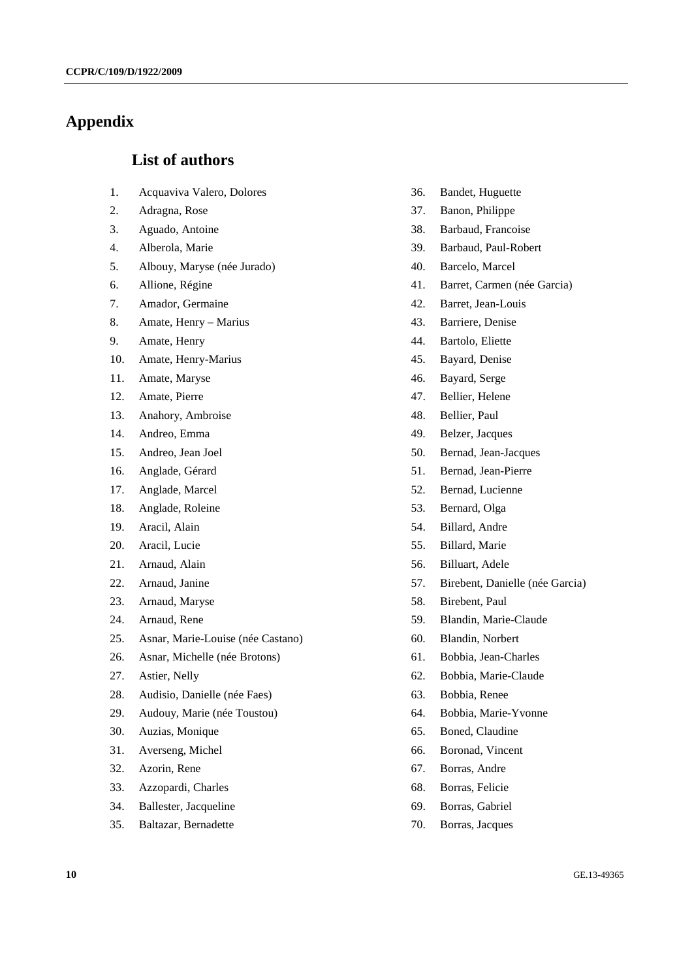## **Appendix**

## **List of authors**

- 1. Acquaviva Valero, Dolores
- 2. Adragna, Rose
- 3. Aguado, Antoine
- 4. Alberola, Marie
- 5. Albouy, Maryse (née Jurado)
- 6. Allione, Régine
- 7. Amador, Germaine
- 8. Amate, Henry Marius
- 9. Amate, Henry
- 10. Amate, Henry-Marius
- 11. Amate, Maryse
- 12. Amate, Pierre
- 13. Anahory, Ambroise
- 14. Andreo, Emma
- 15. Andreo, Jean Joel
- 16. Anglade, Gérard
- 17. Anglade, Marcel
- 18. Anglade, Roleine
- 19. Aracil, Alain
- 20. Aracil, Lucie
- 21. Arnaud, Alain
- 22. Arnaud, Janine
- 23. Arnaud, Maryse
- 24. Arnaud, Rene
- 25. Asnar, Marie-Louise (née Castano)
- 26. Asnar, Michelle (née Brotons)
- 27. Astier, Nelly
- 28. Audisio, Danielle (née Faes)
- 29. Audouy, Marie (née Toustou)
- 30. Auzias, Monique
- 31. Averseng, Michel
- 32. Azorin, Rene
- 33. Azzopardi, Charles
- 34. Ballester, Jacqueline
- 35. Baltazar, Bernadette
- 36. Bandet, Huguette
- 37. Banon, Philippe
- 38. Barbaud, Francoise
- 39. Barbaud, Paul-Robert
- 40. Barcelo, Marcel
- 41. Barret, Carmen (née Garcia)
- 42. Barret, Jean-Louis
- 43. Barriere, Denise
- 44. Bartolo, Eliette
- 45. Bayard, Denise
- 46. Bayard, Serge
- 47. Bellier, Helene
- 48. Bellier, Paul
- 49. Belzer, Jacques
- 50. Bernad, Jean-Jacques
- 51. Bernad, Jean-Pierre
- 52. Bernad, Lucienne
- 53. Bernard, Olga
- 54. Billard, Andre
- 55. Billard, Marie
- 56. Billuart, Adele
- 57. Birebent, Danielle (née Garcia)
- 58. Birebent, Paul
- 59. Blandin, Marie-Claude
- 60. Blandin, Norbert
- 61. Bobbia, Jean-Charles
- 62. Bobbia, Marie-Claude
- 63. Bobbia, Renee
- 64. Bobbia, Marie-Yvonne
- 65. Boned, Claudine
- 66. Boronad, Vincent
- 67. Borras, Andre
- 68. Borras, Felicie
- 69. Borras, Gabriel
- 70. Borras, Jacques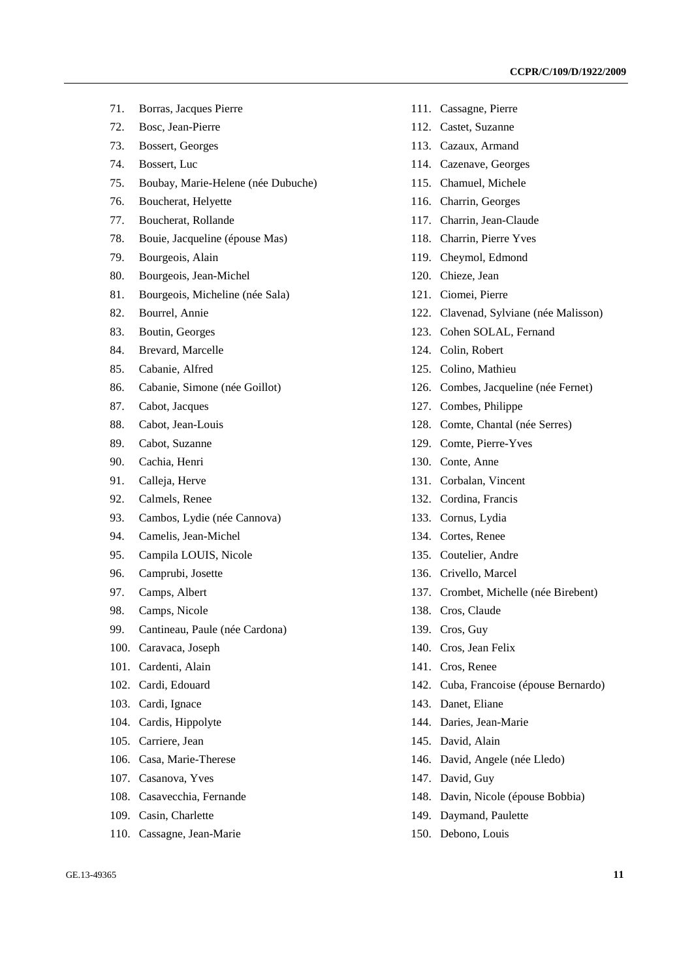- 71. Borras, Jacques Pierre
- 72. Bosc, Jean-Pierre
- 73. Bossert, Georges
- 74. Bossert, Luc
- 75. Boubay, Marie-Helene (née Dubuche)
- 76. Boucherat, Helyette
- 77. Boucherat, Rollande
- 78. Bouie, Jacqueline (épouse Mas)
- 79. Bourgeois, Alain
- 80. Bourgeois, Jean-Michel
- 81. Bourgeois, Micheline (née Sala)
- 82. Bourrel, Annie
- 83. Boutin, Georges
- 84. Brevard, Marcelle
- 85. Cabanie, Alfred
- 86. Cabanie, Simone (née Goillot)
- 87. Cabot, Jacques
- 88. Cabot, Jean-Louis
- 89. Cabot, Suzanne
- 90. Cachia, Henri
- 91. Calleja, Herve
- 92. Calmels, Renee
- 93. Cambos, Lydie (née Cannova)
- 94. Camelis, Jean-Michel
- 95. Campila LOUIS, Nicole
- 96. Camprubi, Josette
- 97. Camps, Albert
- 98. Camps, Nicole
- 99. Cantineau, Paule (née Cardona)
- 100. Caravaca, Joseph
- 101. Cardenti, Alain
- 102. Cardi, Edouard
- 103. Cardi, Ignace
- 104. Cardis, Hippolyte
- 105. Carriere, Jean
- 106. Casa, Marie-Therese
- 107. Casanova, Yves
- 108. Casavecchia, Fernande
- 109. Casin, Charlette
- 110. Cassagne, Jean-Marie
- 
- 111. Cassagne, Pierre
- 112. Castet, Suzanne
- 113. Cazaux, Armand
- 114. Cazenave, Georges
- 115. Chamuel, Michele
- 116. Charrin, Georges
- 117. Charrin, Jean-Claude
- 118. Charrin, Pierre Yves
- 119. Cheymol, Edmond
- 120. Chieze, Jean
- 121. Ciomei, Pierre
- 122. Clavenad, Sylviane (née Malisson)
- 123. Cohen SOLAL, Fernand
- 124. Colin, Robert
- 125. Colino, Mathieu
- 126. Combes, Jacqueline (née Fernet)
- 127. Combes, Philippe
- 128. Comte, Chantal (née Serres)
- 129. Comte, Pierre-Yves
- 130. Conte, Anne
- 131. Corbalan, Vincent
- 132. Cordina, Francis
- 133. Cornus, Lydia
- 134. Cortes, Renee
- 135. Coutelier, Andre
- 136. Crivello, Marcel
- 137. Crombet, Michelle (née Birebent)
- 138. Cros, Claude
- 139. Cros, Guy
- 140. Cros, Jean Felix
- 141. Cros, Renee
- 142. Cuba, Francoise (épouse Bernardo)
- 143. Danet, Eliane
- 144. Daries, Jean-Marie
- 145. David, Alain
- 146. David, Angele (née Lledo)
- 147. David, Guy
- 148. Davin, Nicole (épouse Bobbia)
- 149. Daymand, Paulette
- 150. Debono, Louis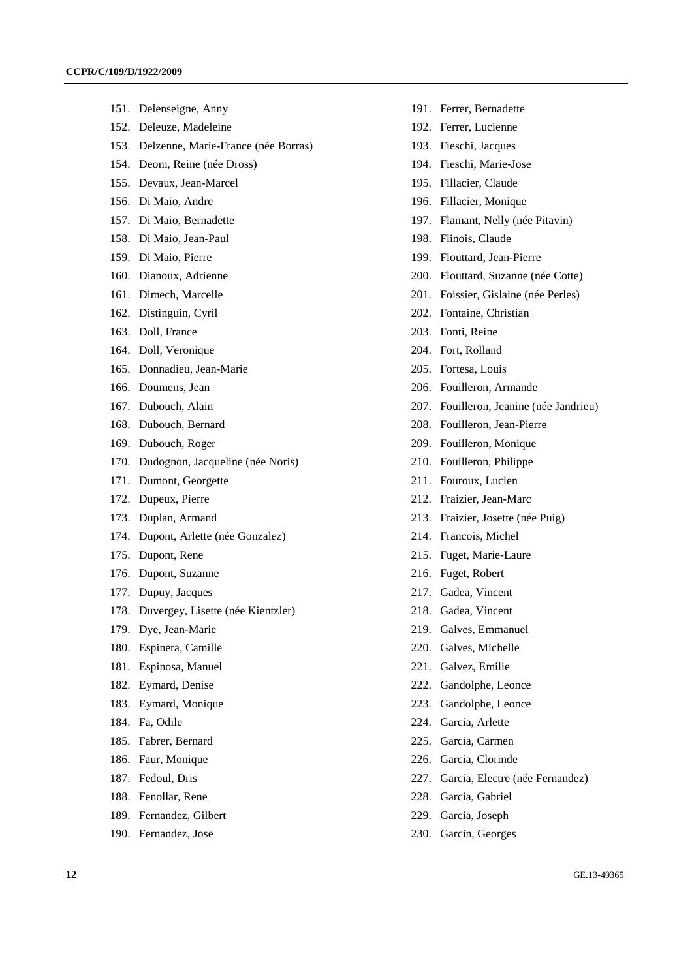- 151. Delenseigne, Anny
- 152. Deleuze, Madeleine
- 153. Delzenne, Marie-France (née Borras)
- 154. Deom, Reine (née Dross)
- 155. Devaux, Jean-Marcel
- 156. Di Maio, Andre
- 157. Di Maio, Bernadette
- 158. Di Maio, Jean-Paul
- 159. Di Maio, Pierre
- 160. Dianoux, Adrienne
- 161. Dimech, Marcelle
- 162. Distinguin, Cyril
- 163. Doll, France
- 164. Doll, Veronique
- 165. Donnadieu, Jean-Marie
- 166. Doumens, Jean
- 167. Dubouch, Alain
- 168. Dubouch, Bernard
- 169. Dubouch, Roger
- 170. Dudognon, Jacqueline (née Noris)
- 171. Dumont, Georgette
- 172. Dupeux, Pierre
- 173. Duplan, Armand
- 174. Dupont, Arlette (née Gonzalez)
- 175. Dupont, Rene
- 176. Dupont, Suzanne
- 177. Dupuy, Jacques
- 178. Duvergey, Lisette (née Kientzler)
- 179. Dye, Jean-Marie
- 180. Espinera, Camille
- 181. Espinosa, Manuel
- 182. Eymard, Denise
- 183. Eymard, Monique
- 184. Fa, Odile
- 185. Fabrer, Bernard
- 186. Faur, Monique
- 187. Fedoul, Dris
- 188. Fenollar, Rene
- 189. Fernandez, Gilbert
- 190. Fernandez, Jose
- 191. Ferrer, Bernadette
- 192. Ferrer, Lucienne
- 193. Fieschi, Jacques
- 194. Fieschi, Marie-Jose
- 195. Fillacier, Claude
- 196. Fillacier, Monique
- 197. Flamant, Nelly (née Pitavin)
- 198. Flinois, Claude
- 199. Flouttard, Jean-Pierre
- 200. Flouttard, Suzanne (née Cotte)
- 201. Foissier, Gislaine (née Perles)
- 202. Fontaine, Christian
- 203. Fonti, Reine
- 204. Fort, Rolland
- 205. Fortesa, Louis
- 206. Fouilleron, Armande
- 207. Fouilleron, Jeanine (née Jandrieu)
- 208. Fouilleron, Jean-Pierre
- 209. Fouilleron, Monique
- 210. Fouilleron, Philippe
- 211. Fouroux, Lucien
- 212. Fraizier, Jean-Marc
- 213. Fraizier, Josette (née Puig)
- 214. Francois, Michel
- 215. Fuget, Marie-Laure
- 216. Fuget, Robert
- 217. Gadea, Vincent
- 218. Gadea, Vincent
- 219. Galves, Emmanuel
- 220. Galves, Michelle
- 221. Galvez, Emilie
- 222. Gandolphe, Leonce
- 223. Gandolphe, Leonce
- 224. Garcia, Arlette
- 225. Garcia, Carmen
- 226. Garcia, Clorinde
- 227. Garcia, Electre (née Fernandez)
- 228. Garcia, Gabriel
- 229. Garcia, Joseph
- 230. Garcin, Georges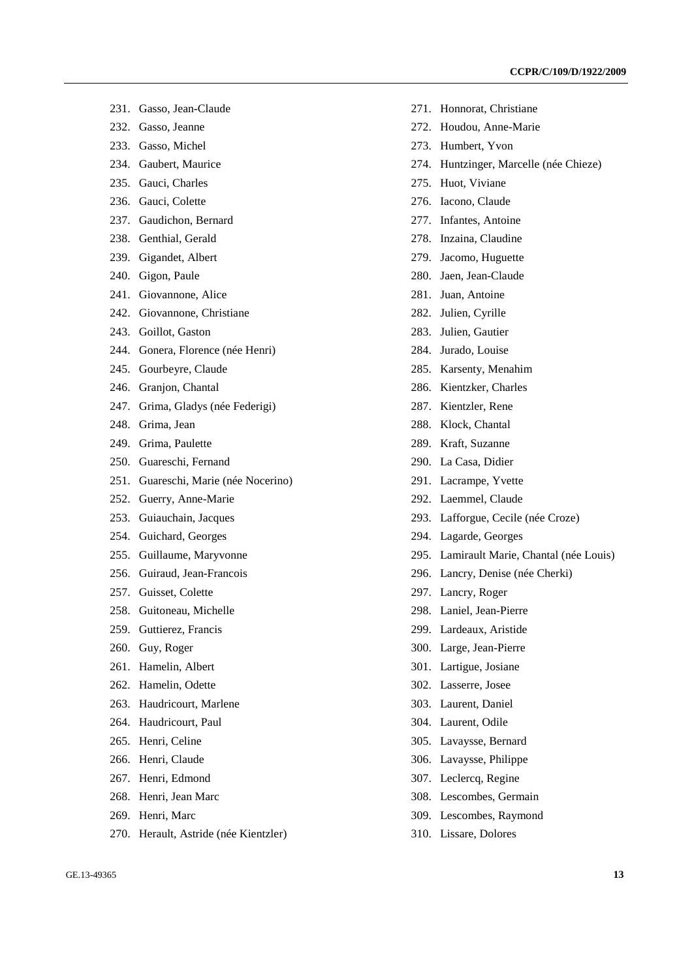- 231. Gasso, Jean-Claude
- 232. Gasso, Jeanne
- 233. Gasso, Michel
- 234. Gaubert, Maurice
- 235. Gauci, Charles
- 236. Gauci, Colette
- 237. Gaudichon, Bernard
- 238. Genthial, Gerald
- 239. Gigandet, Albert
- 240. Gigon, Paule
- 241. Giovannone, Alice
- 242. Giovannone, Christiane
- 243. Goillot, Gaston
- 244. Gonera, Florence (née Henri)
- 245. Gourbeyre, Claude
- 246. Granjon, Chantal
- 247. Grima, Gladys (née Federigi)
- 248. Grima, Jean
- 249. Grima, Paulette
- 250. Guareschi, Fernand
- 251. Guareschi, Marie (née Nocerino)
- 252. Guerry, Anne-Marie
- 253. Guiauchain, Jacques
- 254. Guichard, Georges
- 255. Guillaume, Maryvonne
- 256. Guiraud, Jean-Francois
- 257. Guisset, Colette
- 258. Guitoneau, Michelle
- 259. Guttierez, Francis
- 260. Guy, Roger
- 261. Hamelin, Albert
- 262. Hamelin, Odette
- 263. Haudricourt, Marlene
- 264. Haudricourt, Paul
- 265. Henri, Celine
- 266. Henri, Claude
- 267. Henri, Edmond
- 268. Henri, Jean Marc
- 269. Henri, Marc
- 270. Herault, Astride (née Kientzler)
- 271. Honnorat, Christiane
- 272. Houdou, Anne-Marie
- 273. Humbert, Yvon
- 274. Huntzinger, Marcelle (née Chieze)
- 275. Huot, Viviane
- 276. Iacono, Claude
- 277. Infantes, Antoine
- 278. Inzaina, Claudine
- 279. Jacomo, Huguette
- 280. Jaen, Jean-Claude
- 281. Juan, Antoine
- 282. Julien, Cyrille
- 283. Julien, Gautier
- 284. Jurado, Louise
- 285. Karsenty, Menahim
- 286. Kientzker, Charles
- 287. Kientzler, Rene
- 288. Klock, Chantal
- 289. Kraft, Suzanne
- 290. La Casa, Didier
- 291. Lacrampe, Yvette
- 292. Laemmel, Claude
- 293. Lafforgue, Cecile (née Croze)
- 294. Lagarde, Georges
- 295. Lamirault Marie, Chantal (née Louis)
- 296. Lancry, Denise (née Cherki)
- 297. Lancry, Roger
- 298. Laniel, Jean-Pierre
- 299. Lardeaux, Aristide
- 300. Large, Jean-Pierre
- 301. Lartigue, Josiane
- 302. Lasserre, Josee
- 303. Laurent, Daniel
- 304. Laurent, Odile
- 305. Lavaysse, Bernard
- 306. Lavaysse, Philippe
- 307. Leclercq, Regine
- 308. Lescombes, Germain
- 309. Lescombes, Raymond
- 310. Lissare, Dolores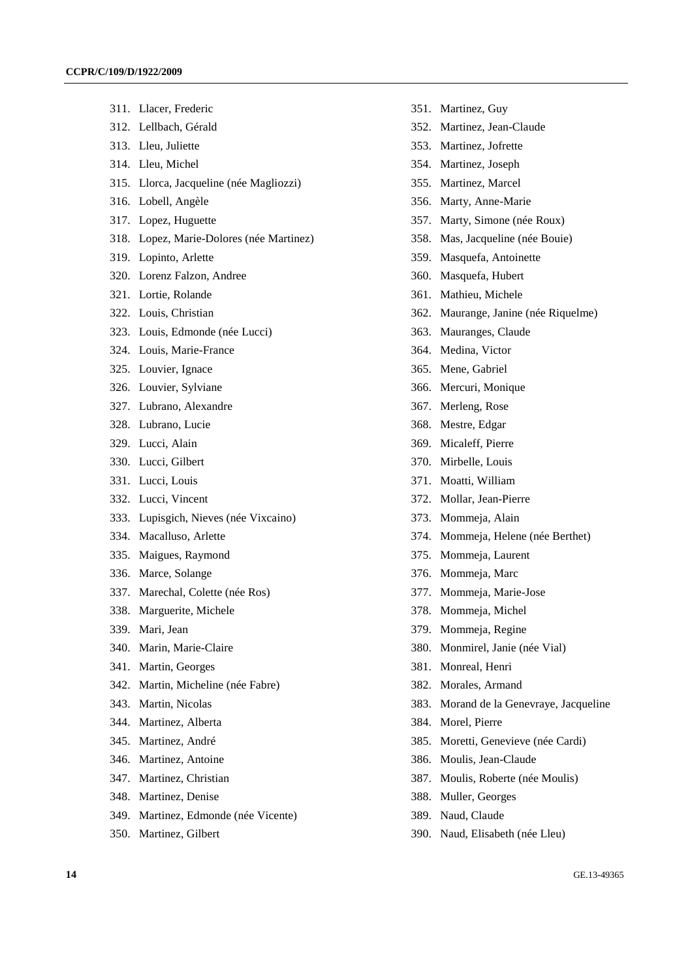- 311. Llacer, Frederic
- 312. Lellbach, Gérald
- 313. Lleu, Juliette
- 314. Lleu, Michel
- 315. Llorca, Jacqueline (née Magliozzi)
- 316. Lobell, Angèle
- 317. Lopez, Huguette
- 318. Lopez, Marie-Dolores (née Martinez)
- 319. Lopinto, Arlette
- 320. Lorenz Falzon, Andree
- 321. Lortie, Rolande
- 322. Louis, Christian
- 323. Louis, Edmonde (née Lucci)
- 324. Louis, Marie-France
- 325. Louvier, Ignace
- 326. Louvier, Sylviane
- 327. Lubrano, Alexandre
- 328. Lubrano, Lucie
- 329. Lucci, Alain
- 330. Lucci, Gilbert
- 331. Lucci, Louis
- 332. Lucci, Vincent
- 333. Lupisgich, Nieves (née Vixcaino)
- 334. Macalluso, Arlette
- 335. Maigues, Raymond
- 336. Marce, Solange
- 337. Marechal, Colette (née Ros)
- 338. Marguerite, Michele
- 339. Mari, Jean
- 340. Marin, Marie-Claire
- 341. Martin, Georges
- 342. Martin, Micheline (née Fabre)
- 343. Martin, Nicolas
- 344. Martinez, Alberta
- 345. Martinez, André
- 346. Martinez, Antoine
- 347. Martinez, Christian
- 348. Martinez, Denise
- 349. Martinez, Edmonde (née Vicente)
- 350. Martinez, Gilbert
- 351. Martinez, Guy
- 352. Martinez, Jean-Claude
- 353. Martinez, Jofrette
- 354. Martinez, Joseph
- 355. Martinez, Marcel
- 356. Marty, Anne-Marie
- 357. Marty, Simone (née Roux)
- 358. Mas, Jacqueline (née Bouie)
- 359. Masquefa, Antoinette
- 360. Masquefa, Hubert
- 361. Mathieu, Michele
- 362. Maurange, Janine (née Riquelme)
- 363. Mauranges, Claude
- 364. Medina, Victor
- 365. Mene, Gabriel
- 366. Mercuri, Monique
- 367. Merleng, Rose
- 368. Mestre, Edgar
- 369. Micaleff, Pierre
- 370. Mirbelle, Louis
- 371. Moatti, William
- 372. Mollar, Jean-Pierre
- 373. Mommeja, Alain
- 374. Mommeja, Helene (née Berthet)
- 375. Mommeja, Laurent
- 376. Mommeja, Marc
- 377. Mommeja, Marie-Jose
- 378. Mommeja, Michel
- 379. Mommeja, Regine
- 380. Monmirel, Janie (née Vial)
- 381. Monreal, Henri
- 382. Morales, Armand
- 383. Morand de la Genevraye, Jacqueline
- 384. Morel, Pierre
- 385. Moretti, Genevieve (née Cardi)
- 386. Moulis, Jean-Claude
- 387. Moulis, Roberte (née Moulis)
- 388. Muller, Georges
- 389. Naud, Claude
- 390. Naud, Elisabeth (née Lleu)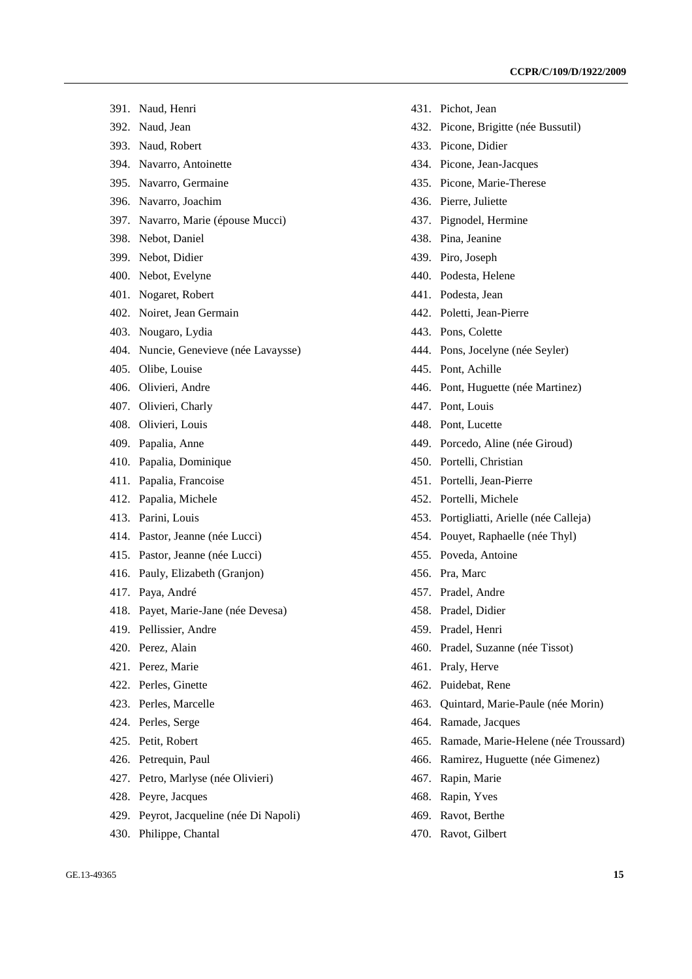- 391. Naud, Henri
- 392. Naud, Jean
- 393. Naud, Robert
- 394. Navarro, Antoinette
- 395. Navarro, Germaine
- 396. Navarro, Joachim
- 397. Navarro, Marie (épouse Mucci)
- 398. Nebot, Daniel
- 399. Nebot, Didier
- 400. Nebot, Evelyne
- 401. Nogaret, Robert
- 402. Noiret, Jean Germain
- 403. Nougaro, Lydia
- 404. Nuncie, Genevieve (née Lavaysse)
- 405. Olibe, Louise
- 406. Olivieri, Andre
- 407. Olivieri, Charly
- 408. Olivieri, Louis
- 409. Papalia, Anne
- 410. Papalia, Dominique
- 411. Papalia, Francoise
- 412. Papalia, Michele
- 413. Parini, Louis
- 414. Pastor, Jeanne (née Lucci)
- 415. Pastor, Jeanne (née Lucci)
- 416. Pauly, Elizabeth (Granjon)
- 417. Paya, André
- 418. Payet, Marie-Jane (née Devesa)
- 419. Pellissier, Andre
- 420. Perez, Alain
- 421. Perez, Marie
- 422. Perles, Ginette
- 423. Perles, Marcelle
- 424. Perles, Serge
- 425. Petit, Robert
- 426. Petrequin, Paul
- 427. Petro, Marlyse (née Olivieri)
- 428. Peyre, Jacques
- 429. Peyrot, Jacqueline (née Di Napoli)
- 430. Philippe, Chantal
- 431. Pichot, Jean
- 432. Picone, Brigitte (née Bussutil)
- 433. Picone, Didier
- 434. Picone, Jean-Jacques
- 435. Picone, Marie-Therese
- 436. Pierre, Juliette
- 437. Pignodel, Hermine
- 438. Pina, Jeanine
- 439. Piro, Joseph
- 440. Podesta, Helene
- 441. Podesta, Jean
- 442. Poletti, Jean-Pierre
- 443. Pons, Colette
- 444. Pons, Jocelyne (née Seyler)
- 445. Pont, Achille
- 446. Pont, Huguette (née Martinez)
- 447. Pont, Louis
- 448. Pont, Lucette
- 449. Porcedo, Aline (née Giroud)
- 450. Portelli, Christian
- 451. Portelli, Jean-Pierre
- 452. Portelli, Michele
- 453. Portigliatti, Arielle (née Calleja)
- 454. Pouyet, Raphaelle (née Thyl)
- 455. Poveda, Antoine
- 456. Pra, Marc
- 457. Pradel, Andre
- 458. Pradel, Didier
- 459. Pradel, Henri
- 460. Pradel, Suzanne (née Tissot)
- 461. Praly, Herve
- 462. Puidebat, Rene
- 463. Quintard, Marie-Paule (née Morin)
- 464. Ramade, Jacques
- 465. Ramade, Marie-Helene (née Troussard)
- 466. Ramirez, Huguette (née Gimenez)
- 467. Rapin, Marie
- 468. Rapin, Yves
- 469. Ravot, Berthe
- 470. Ravot, Gilbert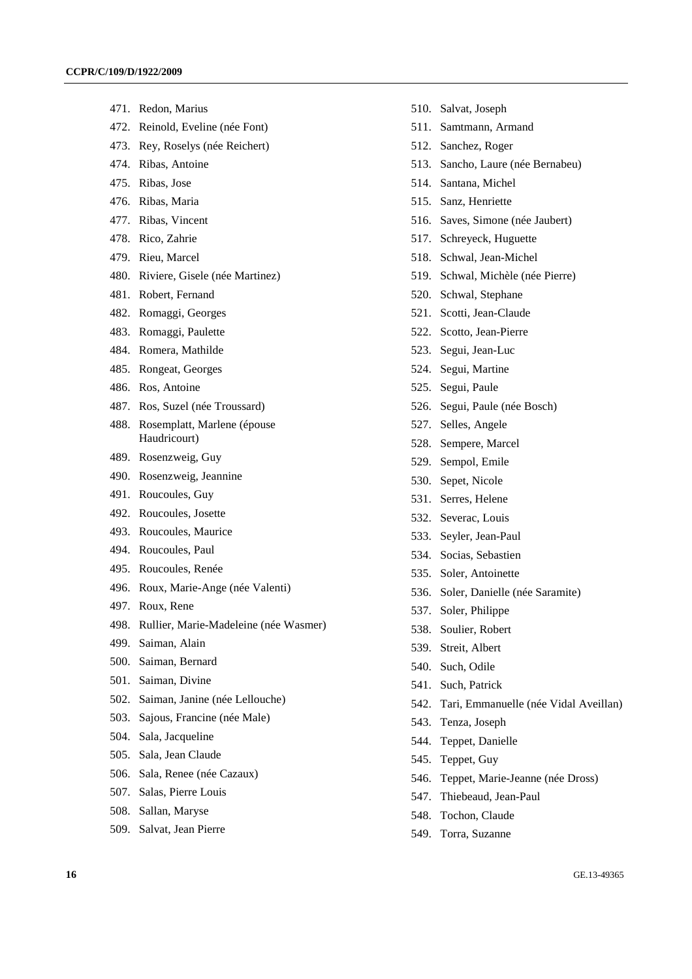- 471. Redon, Marius
- 472. Reinold, Eveline (née Font)
- 473. Rey, Roselys (née Reichert)
- 474. Ribas, Antoine
- 475. Ribas, Jose
- 476. Ribas, Maria
- 477. Ribas, Vincent
- 478. Rico, Zahrie
- 479. Rieu, Marcel
- 480. Riviere, Gisele (née Martinez)
- 481. Robert, Fernand
- 482. Romaggi, Georges
- 483. Romaggi, Paulette
- 484. Romera, Mathilde
- 485. Rongeat, Georges
- 486. Ros, Antoine
- 487. Ros, Suzel (née Troussard)
- 488. Rosemplatt, Marlene (épouse Haudricourt)
- 489. Rosenzweig, Guy
- 490. Rosenzweig, Jeannine
- 491. Roucoules, Guy
- 492. Roucoules, Josette
- 493. Roucoules, Maurice
- 494. Roucoules, Paul
- 495. Roucoules, Renée
- 496. Roux, Marie-Ange (née Valenti)
- 497. Roux, Rene
- 498. Rullier, Marie-Madeleine (née Wasmer)
- 499. Saiman, Alain
- 500. Saiman, Bernard
- 501. Saiman, Divine
- 502. Saiman, Janine (née Lellouche)
- 503. Sajous, Francine (née Male)
- 504. Sala, Jacqueline
- 505. Sala, Jean Claude
- 506. Sala, Renee (née Cazaux)
- 507. Salas, Pierre Louis
- 508. Sallan, Maryse
- 509. Salvat, Jean Pierre
- 510. Salvat, Joseph
- 511. Samtmann, Armand
- 512. Sanchez, Roger
- 513. Sancho, Laure (née Bernabeu)
- 514. Santana, Michel
- 515. Sanz, Henriette
- 516. Saves, Simone (née Jaubert)
- 517. Schreyeck, Huguette
- 518. Schwal, Jean-Michel
- 519. Schwal, Michèle (née Pierre)
- 520. Schwal, Stephane
- 521. Scotti, Jean-Claude
- 522. Scotto, Jean-Pierre
- 523. Segui, Jean-Luc
- 524. Segui, Martine
- 525. Segui, Paule
- 526. Segui, Paule (née Bosch)
- 527. Selles, Angele
- 528. Sempere, Marcel
- 529. Sempol, Emile
- 530. Sepet, Nicole
- 531. Serres, Helene
- 532. Severac, Louis
- 533. Seyler, Jean-Paul
- 534. Socias, Sebastien
- 535. Soler, Antoinette
- 536. Soler, Danielle (née Saramite)
- 537. Soler, Philippe
- 538. Soulier, Robert
- 539. Streit, Albert
- 540. Such, Odile
- 541. Such, Patrick
- 542. Tari, Emmanuelle (née Vidal Aveillan)
- 543. Tenza, Joseph
- 544. Teppet, Danielle
- 545. Teppet, Guy
- 546. Teppet, Marie-Jeanne (née Dross)
- 547. Thiebeaud, Jean-Paul
- 548. Tochon, Claude
- 549. Torra, Suzanne